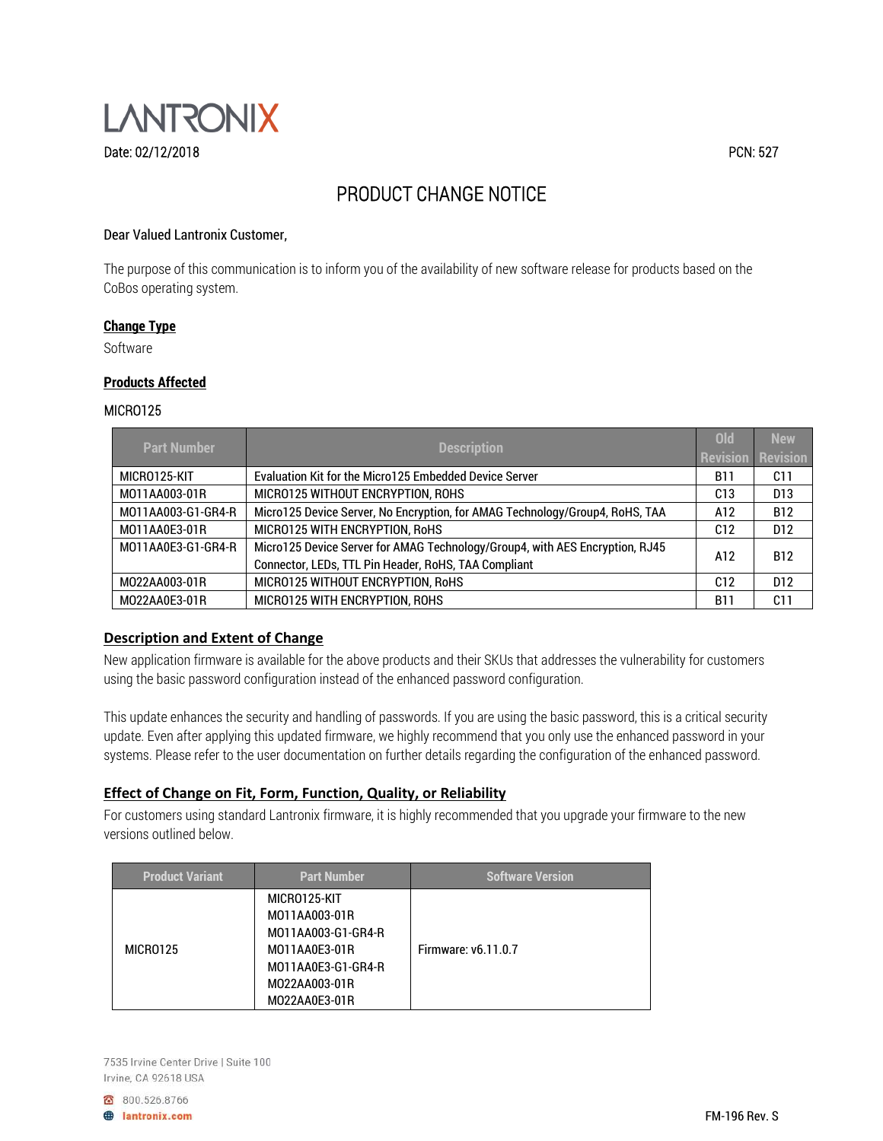

# PRODUCT CHANGE NOTICE

## Dear Valued Lantronix Customer,

The purpose of this communication is to inform you of the availability of new software release for products based on the CoBos operating system.

#### **Change Type**

Software

### **Products Affected**

#### MICRO125

| <b>Part Number</b> | <b>Description</b>                                                           | <b>Old</b>        | <b>New</b>      |
|--------------------|------------------------------------------------------------------------------|-------------------|-----------------|
|                    |                                                                              | <b>Revision</b>   | <b>Revision</b> |
| MICRO125-KIT       | Evaluation Kit for the Micro125 Embedded Device Server                       | <b>B11</b>        | C11             |
| M011AA003-01R      | MICRO125 WITHOUT ENCRYPTION, ROHS                                            |                   | D <sub>13</sub> |
| M011AA003-G1-GR4-R | Micro125 Device Server, No Encryption, for AMAG Technology/Group4, RoHS, TAA |                   | <b>B12</b>      |
| M011AA0E3-01R      | MICRO125 WITH ENCRYPTION, RoHS                                               |                   | D <sub>12</sub> |
| M011AA0E3-G1-GR4-R | Micro125 Device Server for AMAG Technology/Group4, with AES Encryption, RJ45 | <b>B12</b><br>A12 |                 |
|                    | Connector, LEDs, TTL Pin Header, RoHS, TAA Compliant                         |                   |                 |
| M022AA003-01R      | MICRO125 WITHOUT ENCRYPTION, RoHS                                            | C12               | D <sub>12</sub> |
| M022AA0E3-01R      | MICRO125 WITH ENCRYPTION, ROHS                                               | <b>B11</b>        | C11             |

# **Description and Extent of Change**

New application firmware is available for the above products and their SKUs that addresses the vulnerability for customers using the basic password configuration instead of the enhanced password configuration.

This update enhances the security and handling of passwords. If you are using the basic password, this is a critical security update. Even after applying this updated firmware, we highly recommend that you only use the enhanced password in your systems. Please refer to the user documentation on further details regarding the configuration of the enhanced password.

## **Effect of Change on Fit, Form, Function, Quality, or Reliability**

For customers using standard Lantronix firmware, it is highly recommended that you upgrade your firmware to the new versions outlined below.

| <b>Product Variant</b> | <b>Part Number</b>                                                                                          | <b>Software Version</b> |
|------------------------|-------------------------------------------------------------------------------------------------------------|-------------------------|
| MICRO125               | MICRO125-KIT<br>M011AA003-01R<br>M011AA003-G1-GR4-R<br>M011AA0E3-01R<br>MO11AA0E3-G1-GR4-R<br>M022AA003-01R | Firmware: v6.11.0.7     |
|                        | M022AA0E3-01R                                                                                               |                         |

7535 Irvine Center Drive | Suite 100 Irvine, CA 92618 USA

800.526.8766

**A** lantronix.com